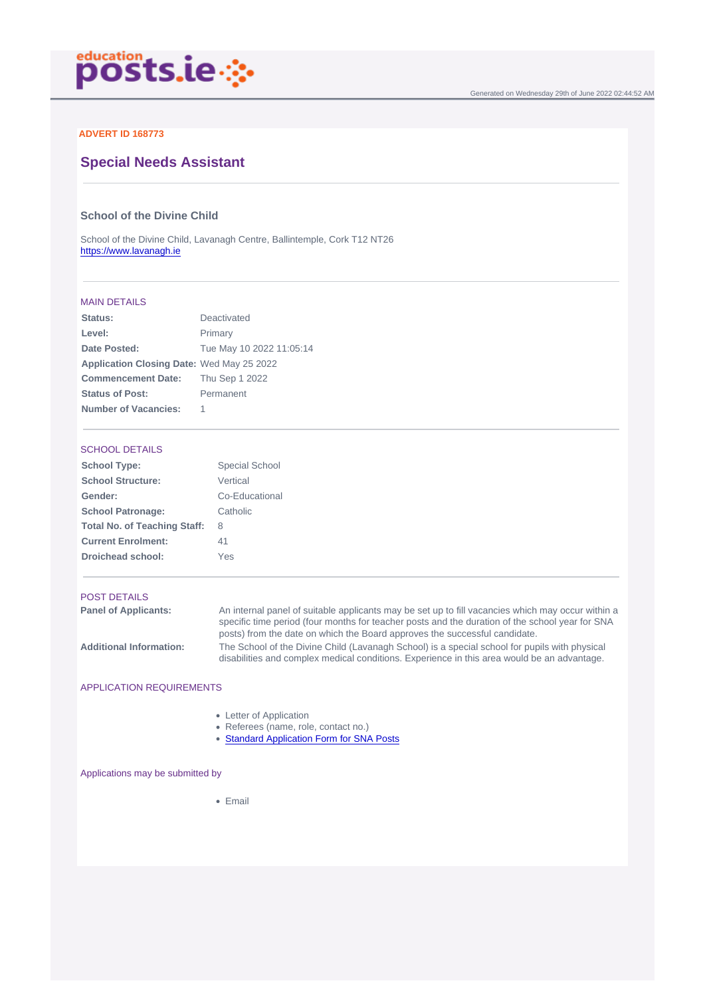### ADVERT ID 168773

# Special Needs Assistant

### School of the Divine Child

School of the Divine Child, Lavanagh Centre, Ballintemple, Cork T12 NT26 <https://www.lavanagh.ie>

#### MAIN DETAILS

| Status:                   | Deactivated              |
|---------------------------|--------------------------|
| Level:                    | Primary                  |
| Date Posted:              | Tue May 10 2022 11:05:14 |
| Application Closing Date: | Wed May 25 2022          |
| <b>Commencement Date:</b> | Thu Sep 1 2022           |
| Status of Post:           | Permanent                |
| Number of Vacancies:      | 1                        |

## SCHOOL DETAILS

| School Type:                 | Special School |
|------------------------------|----------------|
| School Structure:            | Vertical       |
| Gender:                      | Co-Educational |
| School Patronage:            | Catholic       |
| Total No. of Teaching Staff: | 8              |
| <b>Current Enrolment:</b>    | 41             |
| Droichead school:            | <b>Yes</b>     |

#### POST DETAILS

Panel of Applicants: An internal panel of suitable applicants may be set up to fill vacancies which may occur within a specific time period (four months for teacher posts and the duration of the school year for SNA posts) from the date on which the Board approves the successful candidate. Additional Information: The School of the Divine Child (Lavanagh School) is a special school for pupils with physical disabilities and complex medical conditions. Experience in this area would be an advantage.

### APPLICATION REQUIREMENTS

- Letter of Application
- Referees (name, role, contact no.)
- [Standard Application Form for SNA Posts](https://bit.ly/StandardAppForm-SNA)

#### Applications may be submitted by

• Email